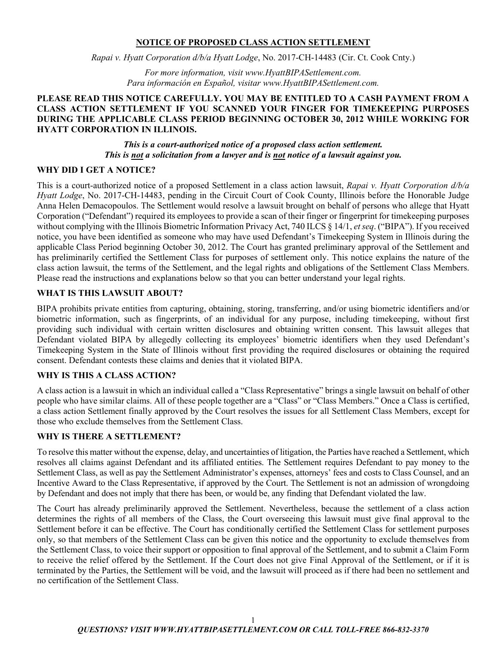## **NOTICE OF PROPOSED CLASS ACTION SETTLEMENT**

*Rapai v. Hyatt Corporation d/b/a Hyatt Lodge*, No. 2017-CH-14483 (Cir. Ct. Cook Cnty.)

*For more information, visit www.HyattBIPASettlement.com. Para información en Español, visitar www.HyattBIPASettlement.com.*

## **PLEASE READ THIS NOTICE CAREFULLY. YOU MAY BE ENTITLED TO A CASH PAYMENT FROM A CLASS ACTION SETTLEMENT IF YOU SCANNED YOUR FINGER FOR TIMEKEEPING PURPOSES DURING THE APPLICABLE CLASS PERIOD BEGINNING OCTOBER 30, 2012 WHILE WORKING FOR HYATT CORPORATION IN ILLINOIS.**

*This is a court-authorized notice of a proposed class action settlement. This is not a solicitation from a lawyer and is not notice of a lawsuit against you.*

### **WHY DID I GET A NOTICE?**

This is a court-authorized notice of a proposed Settlement in a class action lawsuit, *Rapai v. Hyatt Corporation d/b/a Hyatt Lodge*, No. 2017-CH-14483, pending in the Circuit Court of Cook County, Illinois before the Honorable Judge Anna Helen Demacopoulos. The Settlement would resolve a lawsuit brought on behalf of persons who allege that Hyatt Corporation ("Defendant") required its employees to provide a scan of their finger or fingerprint for timekeeping purposes without complying with the Illinois Biometric Information Privacy Act, 740 ILCS § 14/1, *et seq*. ("BIPA"). If you received notice, you have been identified as someone who may have used Defendant's Timekeeping System in Illinois during the applicable Class Period beginning October 30, 2012. The Court has granted preliminary approval of the Settlement and has preliminarily certified the Settlement Class for purposes of settlement only. This notice explains the nature of the class action lawsuit, the terms of the Settlement, and the legal rights and obligations of the Settlement Class Members. Please read the instructions and explanations below so that you can better understand your legal rights.

### **WHAT IS THIS LAWSUIT ABOUT?**

BIPA prohibits private entities from capturing, obtaining, storing, transferring, and/or using biometric identifiers and/or biometric information, such as fingerprints, of an individual for any purpose, including timekeeping, without first providing such individual with certain written disclosures and obtaining written consent. This lawsuit alleges that Defendant violated BIPA by allegedly collecting its employees' biometric identifiers when they used Defendant's Timekeeping System in the State of Illinois without first providing the required disclosures or obtaining the required consent. Defendant contests these claims and denies that it violated BIPA.

### **WHY IS THIS A CLASS ACTION?**

A class action is a lawsuit in which an individual called a "Class Representative" brings a single lawsuit on behalf of other people who have similar claims. All of these people together are a "Class" or "Class Members." Once a Class is certified, a class action Settlement finally approved by the Court resolves the issues for all Settlement Class Members, except for those who exclude themselves from the Settlement Class.

### **WHY IS THERE A SETTLEMENT?**

To resolve this matter without the expense, delay, and uncertainties of litigation, the Parties have reached a Settlement, which resolves all claims against Defendant and its affiliated entities. The Settlement requires Defendant to pay money to the Settlement Class, as well as pay the Settlement Administrator's expenses, attorneys' fees and costs to Class Counsel, and an Incentive Award to the Class Representative, if approved by the Court. The Settlement is not an admission of wrongdoing by Defendant and does not imply that there has been, or would be, any finding that Defendant violated the law.

The Court has already preliminarily approved the Settlement. Nevertheless, because the settlement of a class action determines the rights of all members of the Class, the Court overseeing this lawsuit must give final approval to the Settlement before it can be effective. The Court has conditionally certified the Settlement Class for settlement purposes only, so that members of the Settlement Class can be given this notice and the opportunity to exclude themselves from the Settlement Class, to voice their support or opposition to final approval of the Settlement, and to submit a Claim Form to receive the relief offered by the Settlement. If the Court does not give Final Approval of the Settlement, or if it is terminated by the Parties, the Settlement will be void, and the lawsuit will proceed as if there had been no settlement and no certification of the Settlement Class.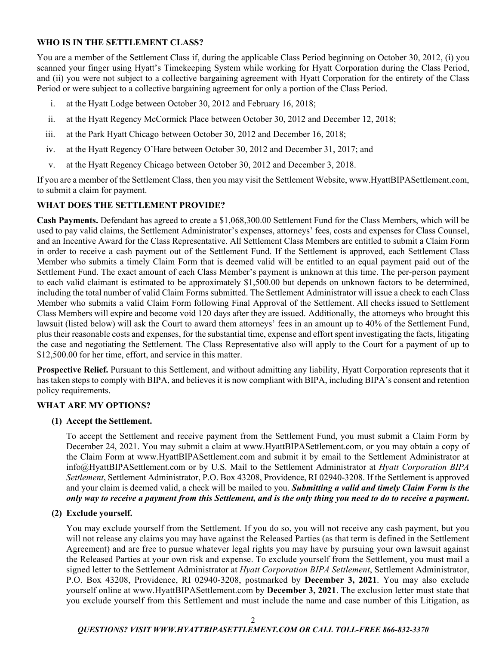# **WHO IS IN THE SETTLEMENT CLASS?**

You are a member of the Settlement Class if, during the applicable Class Period beginning on October 30, 2012, (i) you scanned your finger using Hyatt's Timekeeping System while working for Hyatt Corporation during the Class Period, and (ii) you were not subject to a collective bargaining agreement with Hyatt Corporation for the entirety of the Class Period or were subject to a collective bargaining agreement for only a portion of the Class Period.

- i. at the Hyatt Lodge between October 30, 2012 and February 16, 2018;
- ii. at the Hyatt Regency McCormick Place between October 30, 2012 and December 12, 2018;
- iii. at the Park Hyatt Chicago between October 30, 2012 and December 16, 2018;
- iv. at the Hyatt Regency O'Hare between October 30, 2012 and December 31, 2017; and
- v. at the Hyatt Regency Chicago between October 30, 2012 and December 3, 2018.

If you are a member of the Settlement Class, then you may visit the Settlement Website, www.HyattBIPASettlement.com, to submit a claim for payment.

# **WHAT DOES THE SETTLEMENT PROVIDE?**

**Cash Payments.** Defendant has agreed to create a \$1,068,300.00 Settlement Fund for the Class Members, which will be used to pay valid claims, the Settlement Administrator's expenses, attorneys' fees, costs and expenses for Class Counsel, and an Incentive Award for the Class Representative. All Settlement Class Members are entitled to submit a Claim Form in order to receive a cash payment out of the Settlement Fund. If the Settlement is approved, each Settlement Class Member who submits a timely Claim Form that is deemed valid will be entitled to an equal payment paid out of the Settlement Fund. The exact amount of each Class Member's payment is unknown at this time. The per-person payment to each valid claimant is estimated to be approximately \$1,500.00 but depends on unknown factors to be determined, including the total number of valid Claim Forms submitted. The Settlement Administrator will issue a check to each Class Member who submits a valid Claim Form following Final Approval of the Settlement. All checks issued to Settlement Class Members will expire and become void 120 days after they are issued. Additionally, the attorneys who brought this lawsuit (listed below) will ask the Court to award them attorneys' fees in an amount up to 40% of the Settlement Fund, plus their reasonable costs and expenses, for the substantial time, expense and effort spent investigating the facts, litigating the case and negotiating the Settlement. The Class Representative also will apply to the Court for a payment of up to \$12,500.00 for her time, effort, and service in this matter.

**Prospective Relief.** Pursuant to this Settlement, and without admitting any liability, Hyatt Corporation represents that it has taken steps to comply with BIPA, and believes it is now compliant with BIPA, including BIPA's consent and retention policy requirements.

### **WHAT ARE MY OPTIONS?**

### **(1) Accept the Settlement.**

To accept the Settlement and receive payment from the Settlement Fund, you must submit a Claim Form by December 24, 2021. You may submit a claim at www.HyattBIPASettlement.com, or you may obtain a copy of the Claim Form at www.HyattBIPASettlement.com and submit it by email to the Settlement Administrator at info@HyattBIPASettlement.com or by U.S. Mail to the Settlement Administrator at *Hyatt Corporation BIPA Settlement*, Settlement Administrator, P.O. Box 43208, Providence, RI 02940-3208. If the Settlement is approved and your claim is deemed valid, a check will be mailed to you. *Submitting a valid and timely Claim Form is the only way to receive a payment from this Settlement, and is the only thing you need to do to receive a payment***.**

### **(2) Exclude yourself.**

You may exclude yourself from the Settlement. If you do so, you will not receive any cash payment, but you will not release any claims you may have against the Released Parties (as that term is defined in the Settlement Agreement) and are free to pursue whatever legal rights you may have by pursuing your own lawsuit against the Released Parties at your own risk and expense. To exclude yourself from the Settlement, you must mail a signed letter to the Settlement Administrator at *Hyatt Corporation BIPA Settlement*, Settlement Administrator, P.O. Box 43208, Providence, RI 02940-3208, postmarked by **December 3, 2021**. You may also exclude yourself online at www.HyattBIPASettlement.com by **December 3, 2021**. The exclusion letter must state that you exclude yourself from this Settlement and must include the name and case number of this Litigation, as

### *QUESTIONS? VISIT WWW.HYATTBIPASETTLEMENT.COM OR CALL TOLL-FREE 866-832-3370*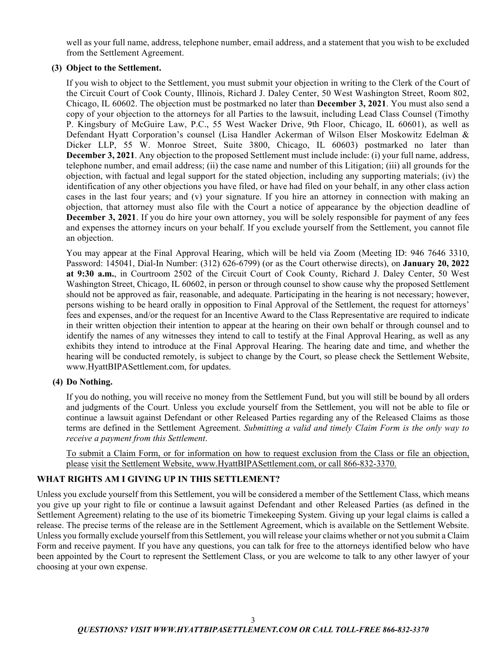well as your full name, address, telephone number, email address, and a statement that you wish to be excluded from the Settlement Agreement.

## **(3) Object to the Settlement.**

If you wish to object to the Settlement, you must submit your objection in writing to the Clerk of the Court of the Circuit Court of Cook County, Illinois, Richard J. Daley Center, 50 West Washington Street, Room 802, Chicago, IL 60602. The objection must be postmarked no later than **December 3, 2021**. You must also send a copy of your objection to the attorneys for all Parties to the lawsuit, including Lead Class Counsel (Timothy P. Kingsbury of McGuire Law, P.C., 55 West Wacker Drive, 9th Floor, Chicago, IL 60601), as well as Defendant Hyatt Corporation's counsel (Lisa Handler Ackerman of Wilson Elser Moskowitz Edelman & Dicker LLP, 55 W. Monroe Street, Suite 3800, Chicago, IL 60603) postmarked no later than **December 3, 2021**. Any objection to the proposed Settlement must include include: (i) your full name, address, telephone number, and email address; (ii) the case name and number of this Litigation; (iii) all grounds for the objection, with factual and legal support for the stated objection, including any supporting materials; (iv) the identification of any other objections you have filed, or have had filed on your behalf, in any other class action cases in the last four years; and (v) your signature. If you hire an attorney in connection with making an objection, that attorney must also file with the Court a notice of appearance by the objection deadline of **December 3, 2021**. If you do hire your own attorney, you will be solely responsible for payment of any fees and expenses the attorney incurs on your behalf. If you exclude yourself from the Settlement, you cannot file an objection.

You may appear at the Final Approval Hearing, which will be held via Zoom (Meeting ID: 946 7646 3310, Password: 145041, Dial-In Number: (312) 626-6799) (or as the Court otherwise directs), on **January 20, 2022 at 9:30 a.m.**, in Courtroom 2502 of the Circuit Court of Cook County, Richard J. Daley Center, 50 West Washington Street, Chicago, IL 60602, in person or through counsel to show cause why the proposed Settlement should not be approved as fair, reasonable, and adequate. Participating in the hearing is not necessary; however, persons wishing to be heard orally in opposition to Final Approval of the Settlement, the request for attorneys' fees and expenses, and/or the request for an Incentive Award to the Class Representative are required to indicate in their written objection their intention to appear at the hearing on their own behalf or through counsel and to identify the names of any witnesses they intend to call to testify at the Final Approval Hearing, as well as any exhibits they intend to introduce at the Final Approval Hearing. The hearing date and time, and whether the hearing will be conducted remotely, is subject to change by the Court, so please check the Settlement Website, www.HyattBIPASettlement.com, for updates.

# **(4) Do Nothing.**

If you do nothing, you will receive no money from the Settlement Fund, but you will still be bound by all orders and judgments of the Court. Unless you exclude yourself from the Settlement, you will not be able to file or continue a lawsuit against Defendant or other Released Parties regarding any of the Released Claims as those terms are defined in the Settlement Agreement. *Submitting a valid and timely Claim Form is the only way to receive a payment from this Settlement*.

To submit a Claim Form, or for information on how to request exclusion from the Class or file an objection, please visit the Settlement Website, www.HyattBIPASettlement.com, or call 866-832-3370.

### **WHAT RIGHTS AM I GIVING UP IN THIS SETTLEMENT?**

Unless you exclude yourself from this Settlement, you will be considered a member of the Settlement Class, which means you give up your right to file or continue a lawsuit against Defendant and other Released Parties (as defined in the Settlement Agreement) relating to the use of its biometric Timekeeping System. Giving up your legal claims is called a release. The precise terms of the release are in the Settlement Agreement, which is available on the Settlement Website. Unless you formally exclude yourself from this Settlement, you will release your claims whether or not you submit a Claim Form and receive payment. If you have any questions, you can talk for free to the attorneys identified below who have been appointed by the Court to represent the Settlement Class, or you are welcome to talk to any other lawyer of your choosing at your own expense.